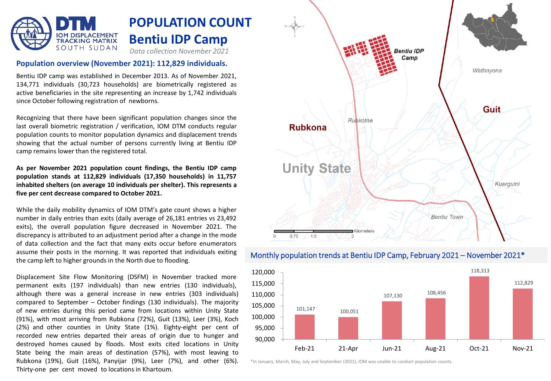

### **Population overview (November 2021): 112,829 individuals.**

Bentiu IDP camp was established in December 2013. As of November 2021, 134,771 individuals (30,723 households) are biometrically registered as active beneficiaries in the site representing an increase by 1,742 individuals since October following registration of newborns.

Recognizing that there have been significant population changes since the last overall biometric registration / verification, IOM DTM conducts regular population counts to monitor population dynamics and displacement trends showing that the actual number of persons currently living at Bentiu IDP camp remains lower than the registered total.

**As per November 2021 population count findings, the Bentiu IDP camp population stands at 112,829 individuals (17,350 households) in 11,757 inhabited shelters (on average 10 individuals per shelter). This represents a five per cent decrease compared to October 2021.**

While the daily mobility dynamics of IOM DTM's gate count shows a higher number in daily entries than exits (daily average of 26,181 entries vs 23,492 exits), the overall population figure decreased in November 2021. The discrepancy is attributed to an adjustment period after a change in the mode of data collection and the fact that many exits occur before enumerators assume their posts in the morning. It was reported that individuals exiting the camp left to higher grounds in the North due to flooding.

Displacement Site Flow Monitoring (DSFM) in November tracked more permanent exits (197 individuals) than new entries (130 individuals), although there was a general increase in new entries (303 individuals) compared to September – October findings (130 individuals). The majority of new entries during this period came from locations within Unity State (91%), with most arriving from Rubkona (72%), Guit (13%), Leer (3%), Koch (2%) and other counties in Unity State (1%). Eighty-eight per cent of recorded new entries departed their areas of origin due to hunger and destroyed homes caused by floods. Most exits cited locations in Unity State being the main areas of destination (57%), with most leaving to Rubkona (19%), Guit (16%), Panyijar (9%), Leer (7%), and other (6%). Thirty-one per cent moved to locations in Khartoum.



### Monthly population trends at Bentiu IDP Camp, February 2021 – November 2021\*



\*In January, March, May, July and September (2021), IOM was unable to conduct population counts.